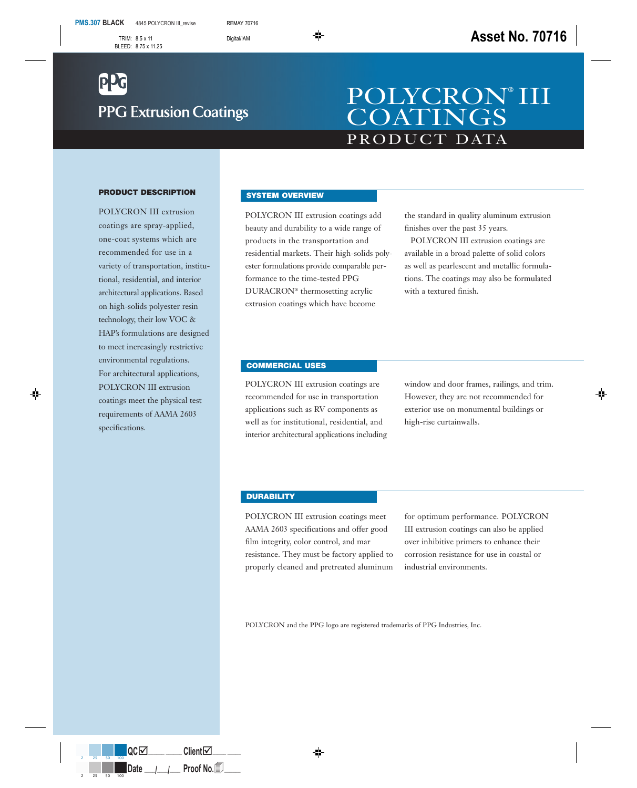# **PPG Extrusion Coatings**

## PRODUCT DATA POLYCRON® III **COATINGS**

#### **PRODUCT DESCRIPTION**

POLYCRON III extrusion coatings are spray-applied, one-coat systems which are recommended for use in a variety of transportation, institutional, residential, and interior architectural applications. Based on high-solids polyester resin technology, their low VOC & HAP's formulations are designed to meet increasingly restrictive environmental regulations. For architectural applications, POLYCRON III extrusion coatings meet the physical test requirements of AAMA 2603 specifications.

#### **SYSTEM OVERVIEW**

POLYCRON III extrusion coatings add beauty and durability to a wide range of products in the transportation and residential markets. Their high-solids polyester formulations provide comparable performance to the time-tested PPG DURACRON® thermosetting acrylic extrusion coatings which have become

the standard in quality aluminum extrusion finishes over the past 35 years.

POLYCRON III extrusion coatings are available in a broad palette of solid colors as well as pearlescent and metallic formulations. The coatings may also be formulated with a textured finish.

#### **COMMERCIAL USES**

POLYCRON III extrusion coatings are recommended for use in transportation applications such as RV components as well as for institutional, residential, and interior architectural applications including window and door frames, railings, and trim. However, they are not recommended for exterior use on monumental buildings or high-rise curtainwalls.

#### **DURABILITY**

POLYCRON III extrusion coatings meet AAMA 2603 specifications and offer good film integrity, color control, and mar resistance. They must be factory applied to properly cleaned and pretreated aluminum for optimum performance. POLYCRON III extrusion coatings can also be applied over inhibitive primers to enhance their corrosion resistance for use in coastal or industrial environments.

POLYCRON and the PPG logo are registered trademarks of PPG Industries, Inc.